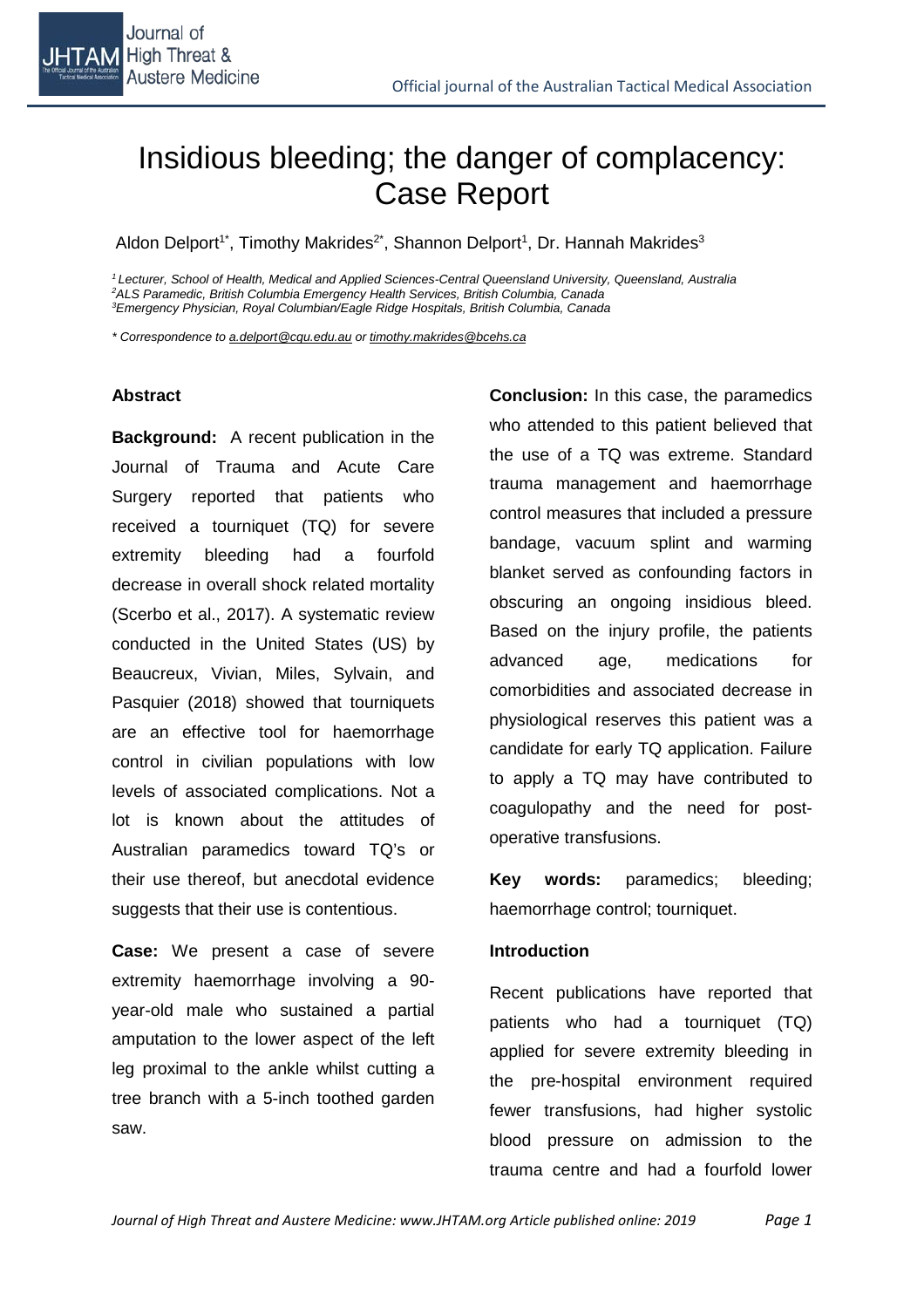

# Insidious bleeding; the danger of complacency: Case Report

Aldon Delport<sup>1\*</sup>, Timothy Makrides<sup>2\*</sup>, Shannon Delport<sup>1</sup>, Dr. Hannah Makrides<sup>3</sup>

*<sup>1</sup> Lecturer, School of Health, Medical and Applied Sciences-Central Queensland University, Queensland, Australia 2 ALS Paramedic, British Columbia Emergency Health Services, British Columbia, Canada 3 Emergency Physician, Royal Columbian/Eagle Ridge Hospitals, British Columbia, Canada*

*\* Correspondence to a.delport@cqu.edu.au or timothy.makrides@bcehs.ca*

#### **Abstract**

**Background:** A recent publication in the Journal of Trauma and Acute Care Surgery reported that patients who received a tourniquet (TQ) for severe extremity bleeding had a fourfold decrease in overall shock related mortality (Scerbo et al., 2017). A systematic review conducted in the United States (US) by Beaucreux, Vivian, Miles, Sylvain, and Pasquier (2018) showed that tourniquets are an effective tool for haemorrhage control in civilian populations with low levels of associated complications. Not a lot is known about the attitudes of Australian paramedics toward TQ's or their use thereof, but anecdotal evidence suggests that their use is contentious.

**Case:** We present a case of severe extremity haemorrhage involving a 90 year-old male who sustained a partial amputation to the lower aspect of the left leg proximal to the ankle whilst cutting a tree branch with a 5-inch toothed garden saw.

**Conclusion:** In this case, the paramedics who attended to this patient believed that the use of a TQ was extreme. Standard trauma management and haemorrhage control measures that included a pressure bandage, vacuum splint and warming blanket served as confounding factors in obscuring an ongoing insidious bleed. Based on the injury profile, the patients advanced age, medications for comorbidities and associated decrease in physiological reserves this patient was a candidate for early TQ application. Failure to apply a TQ may have contributed to coagulopathy and the need for postoperative transfusions.

**Key words:** paramedics; bleeding; haemorrhage control; tourniquet.

#### **Introduction**

Recent publications have reported that patients who had a tourniquet (TQ) applied for severe extremity bleeding in the pre-hospital environment required fewer transfusions, had higher systolic blood pressure on admission to the trauma centre and had a fourfold lower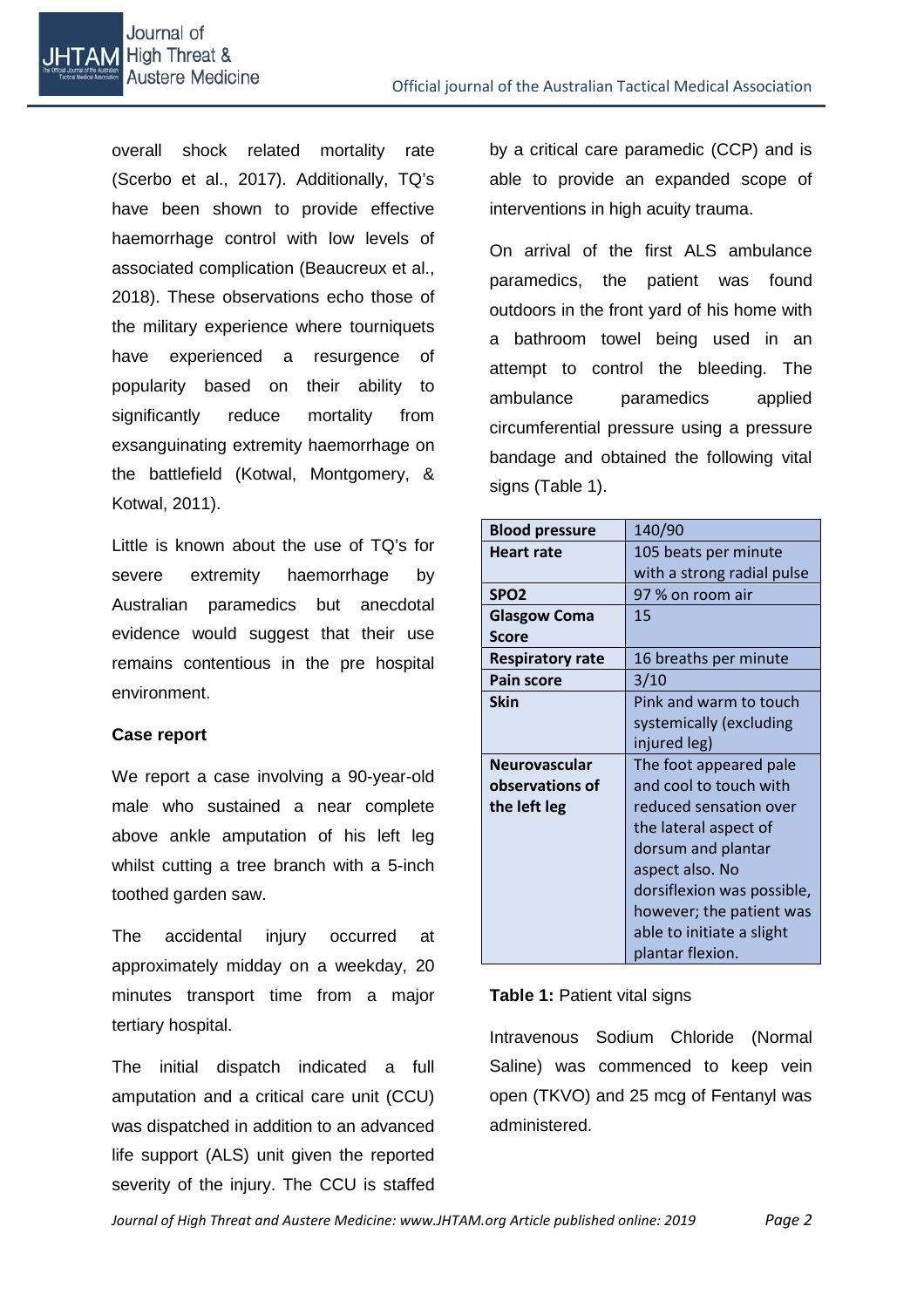

overall shock related mortality rate (Scerbo et al., 2017). Additionally, TQ's have been shown to provide effective haemorrhage control with low levels of associated complication (Beaucreux et al., 2018). These observations echo those of the military experience where tourniquets have experienced a resurgence of popularity based on their ability to significantly reduce mortality from exsanguinating extremity haemorrhage on the battlefield (Kotwal, Montgomery, & Kotwal, 2011).

Little is known about the use of TQ's for severe extremity haemorrhage by Australian paramedics but anecdotal evidence would suggest that their use remains contentious in the pre hospital environment.

## **Case report**

We report a case involving a 90-year-old male who sustained a near complete above ankle amputation of his left leg whilst cutting a tree branch with a 5-inch toothed garden saw.

The accidental injury occurred at approximately midday on a weekday, 20 minutes transport time from a major tertiary hospital.

The initial dispatch indicated a full amputation and a critical care unit (CCU) was dispatched in addition to an advanced life support (ALS) unit given the reported severity of the injury. The CCU is staffed

by a critical care paramedic (CCP) and is able to provide an expanded scope of interventions in high acuity trauma.

On arrival of the first ALS ambulance paramedics, the patient was found outdoors in the front yard of his home with a bathroom towel being used in an attempt to control the bleeding. The ambulance paramedics applied circumferential pressure using a pressure bandage and obtained the following vital signs (Table 1).

| <b>Blood pressure</b>   | 140/90                     |
|-------------------------|----------------------------|
| <b>Heart rate</b>       | 105 beats per minute       |
|                         | with a strong radial pulse |
| SPO <sub>2</sub>        | 97 % on room air           |
| <b>Glasgow Coma</b>     | 15                         |
| <b>Score</b>            |                            |
| <b>Respiratory rate</b> | 16 breaths per minute      |
| <b>Pain score</b>       | 3/10                       |
| <b>Skin</b>             | Pink and warm to touch     |
|                         | systemically (excluding    |
|                         | injured leg)               |
| <b>Neurovascular</b>    | The foot appeared pale     |
| observations of         | and cool to touch with     |
| the left leg            | reduced sensation over     |
|                         | the lateral aspect of      |
|                         | dorsum and plantar         |
|                         | aspect also. No            |
|                         | dorsiflexion was possible, |
|                         | however; the patient was   |
|                         | able to initiate a slight  |
|                         | plantar flexion.           |

## **Table 1:** Patient vital signs

Intravenous Sodium Chloride (Normal Saline) was commenced to keep vein open (TKVO) and 25 mcg of Fentanyl was administered.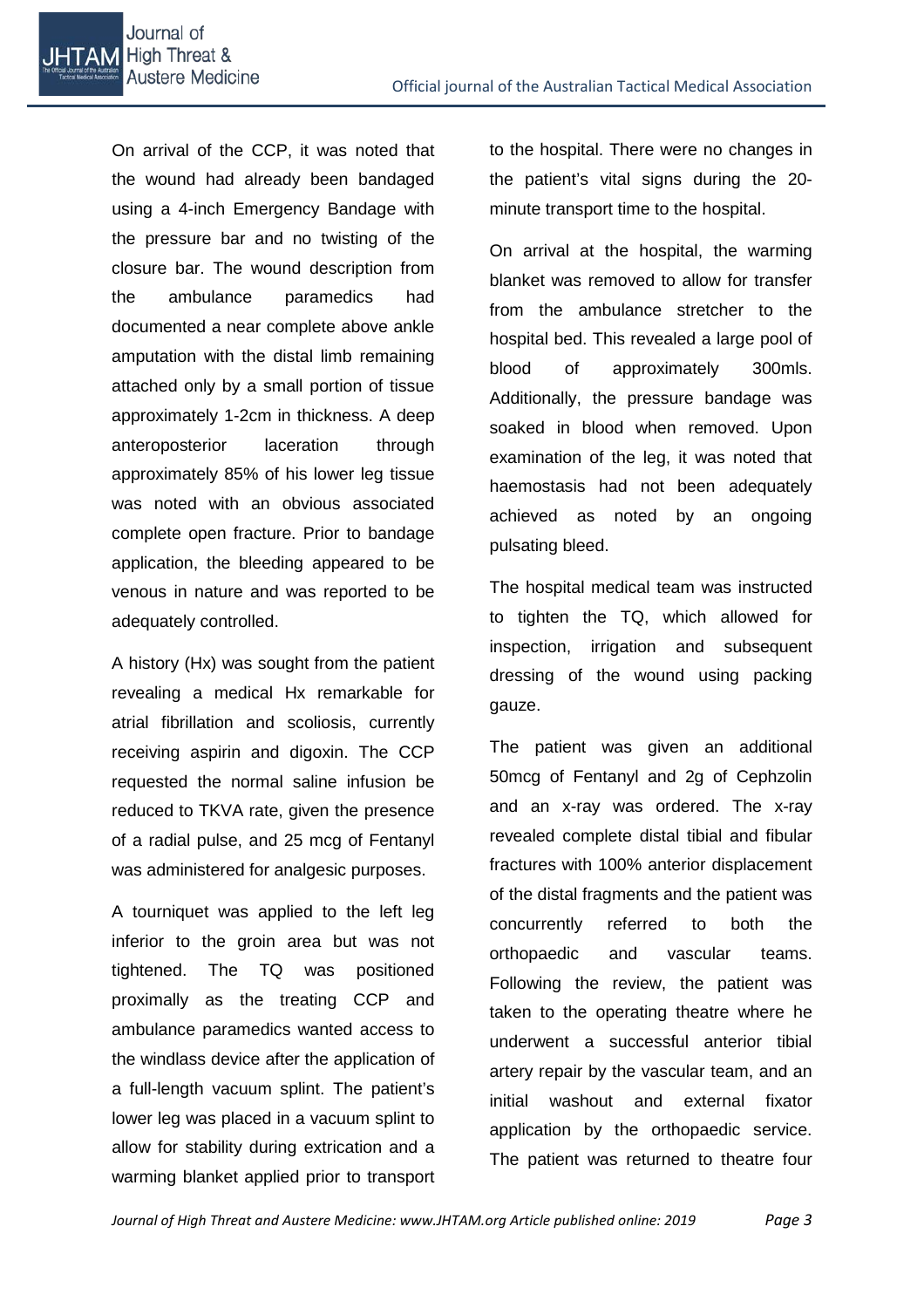

On arrival of the CCP, it was noted that the wound had already been bandaged using a 4-inch Emergency Bandage with the pressure bar and no twisting of the closure bar. The wound description from the ambulance paramedics had documented a near complete above ankle amputation with the distal limb remaining attached only by a small portion of tissue approximately 1-2cm in thickness. A deep anteroposterior laceration through approximately 85% of his lower leg tissue was noted with an obvious associated complete open fracture. Prior to bandage application, the bleeding appeared to be venous in nature and was reported to be adequately controlled.

A history (Hx) was sought from the patient revealing a medical Hx remarkable for atrial fibrillation and scoliosis, currently receiving aspirin and digoxin. The CCP requested the normal saline infusion be reduced to TKVA rate, given the presence of a radial pulse, and 25 mcg of Fentanyl was administered for analgesic purposes.

A tourniquet was applied to the left leg inferior to the groin area but was not tightened. The TQ was positioned proximally as the treating CCP and ambulance paramedics wanted access to the windlass device after the application of a full-length vacuum splint. The patient's lower leg was placed in a vacuum splint to allow for stability during extrication and a warming blanket applied prior to transport to the hospital. There were no changes in the patient's vital signs during the 20 minute transport time to the hospital.

On arrival at the hospital, the warming blanket was removed to allow for transfer from the ambulance stretcher to the hospital bed. This revealed a large pool of blood of approximately 300mls. Additionally, the pressure bandage was soaked in blood when removed. Upon examination of the leg, it was noted that haemostasis had not been adequately achieved as noted by an ongoing pulsating bleed.

The hospital medical team was instructed to tighten the TQ, which allowed for inspection, irrigation and subsequent dressing of the wound using packing gauze.

The patient was given an additional 50mcg of Fentanyl and 2g of Cephzolin and an x-ray was ordered. The x-ray revealed complete distal tibial and fibular fractures with 100% anterior displacement of the distal fragments and the patient was concurrently referred to both the orthopaedic and vascular teams. Following the review, the patient was taken to the operating theatre where he underwent a successful anterior tibial artery repair by the vascular team, and an initial washout and external fixator application by the orthopaedic service. The patient was returned to theatre four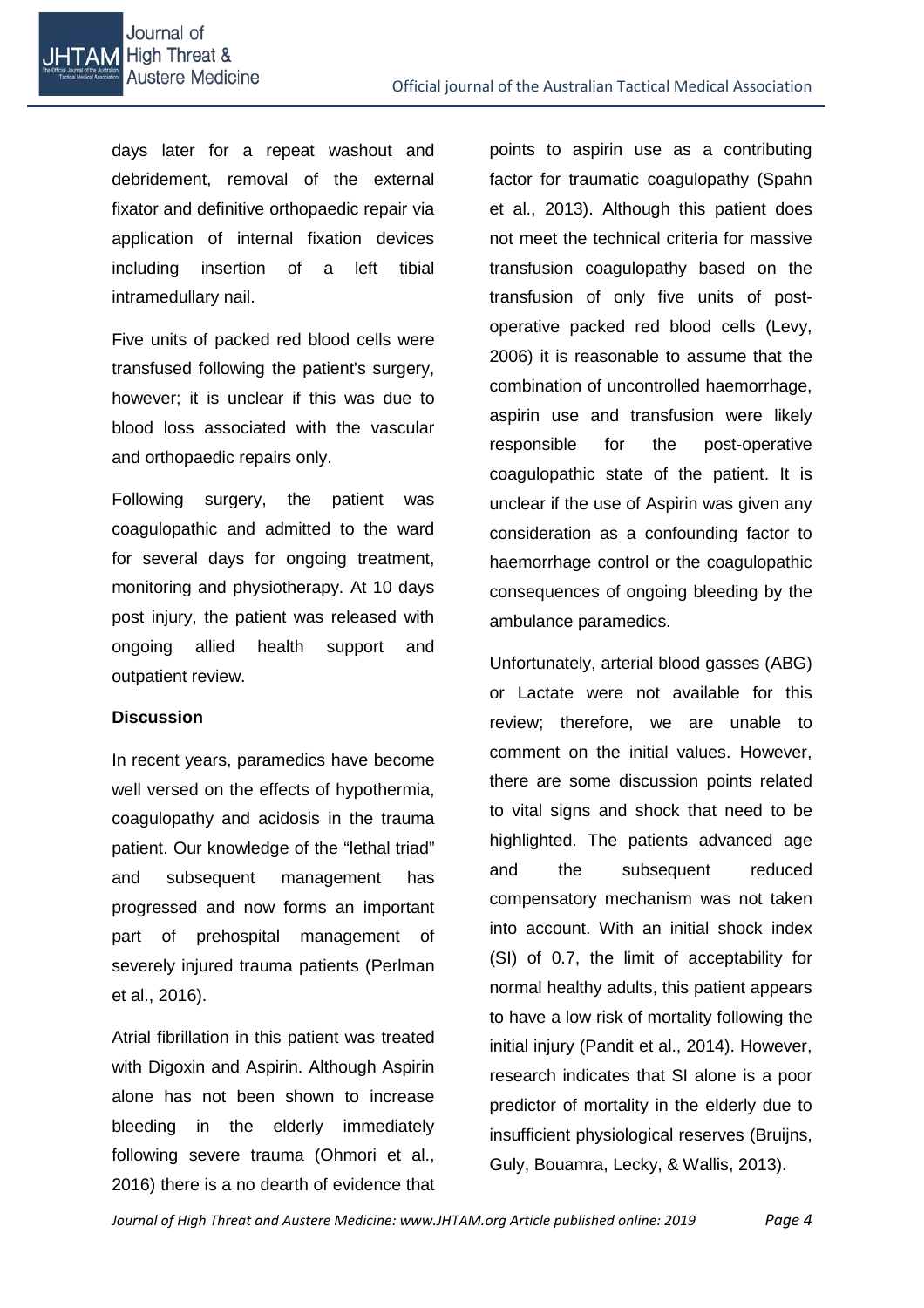days later for a repeat washout and debridement, removal of the external fixator and definitive orthopaedic repair via application of internal fixation devices including insertion of a left tibial intramedullary nail.

Five units of packed red blood cells were transfused following the patient's surgery, however; it is unclear if this was due to blood loss associated with the vascular and orthopaedic repairs only.

Following surgery, the patient was coagulopathic and admitted to the ward for several days for ongoing treatment, monitoring and physiotherapy. At 10 days post injury, the patient was released with ongoing allied health support and outpatient review.

## **Discussion**

In recent years, paramedics have become well versed on the effects of hypothermia, coagulopathy and acidosis in the trauma patient. Our knowledge of the "lethal triad" and subsequent management has progressed and now forms an important part of prehospital management of severely injured trauma patients (Perlman et al., 2016).

Atrial fibrillation in this patient was treated with Digoxin and Aspirin. Although Aspirin alone has not been shown to increase bleeding in the elderly immediately following severe trauma (Ohmori et al., 2016) there is a no dearth of evidence that points to aspirin use as a contributing factor for traumatic coagulopathy (Spahn et al., 2013). Although this patient does not meet the technical criteria for massive transfusion coagulopathy based on the transfusion of only five units of postoperative packed red blood cells (Levy, 2006) it is reasonable to assume that the combination of uncontrolled haemorrhage, aspirin use and transfusion were likely responsible for the post-operative coagulopathic state of the patient. It is unclear if the use of Aspirin was given any consideration as a confounding factor to haemorrhage control or the coagulopathic consequences of ongoing bleeding by the ambulance paramedics.

Unfortunately, arterial blood gasses (ABG) or Lactate were not available for this review; therefore, we are unable to comment on the initial values. However, there are some discussion points related to vital signs and shock that need to be highlighted. The patients advanced age and the subsequent reduced compensatory mechanism was not taken into account. With an initial shock index (SI) of 0.7, the limit of acceptability for normal healthy adults, this patient appears to have a low risk of mortality following the initial injury (Pandit et al., 2014). However, research indicates that SI alone is a poor predictor of mortality in the elderly due to insufficient physiological reserves (Bruijns, Guly, Bouamra, Lecky, & Wallis, 2013).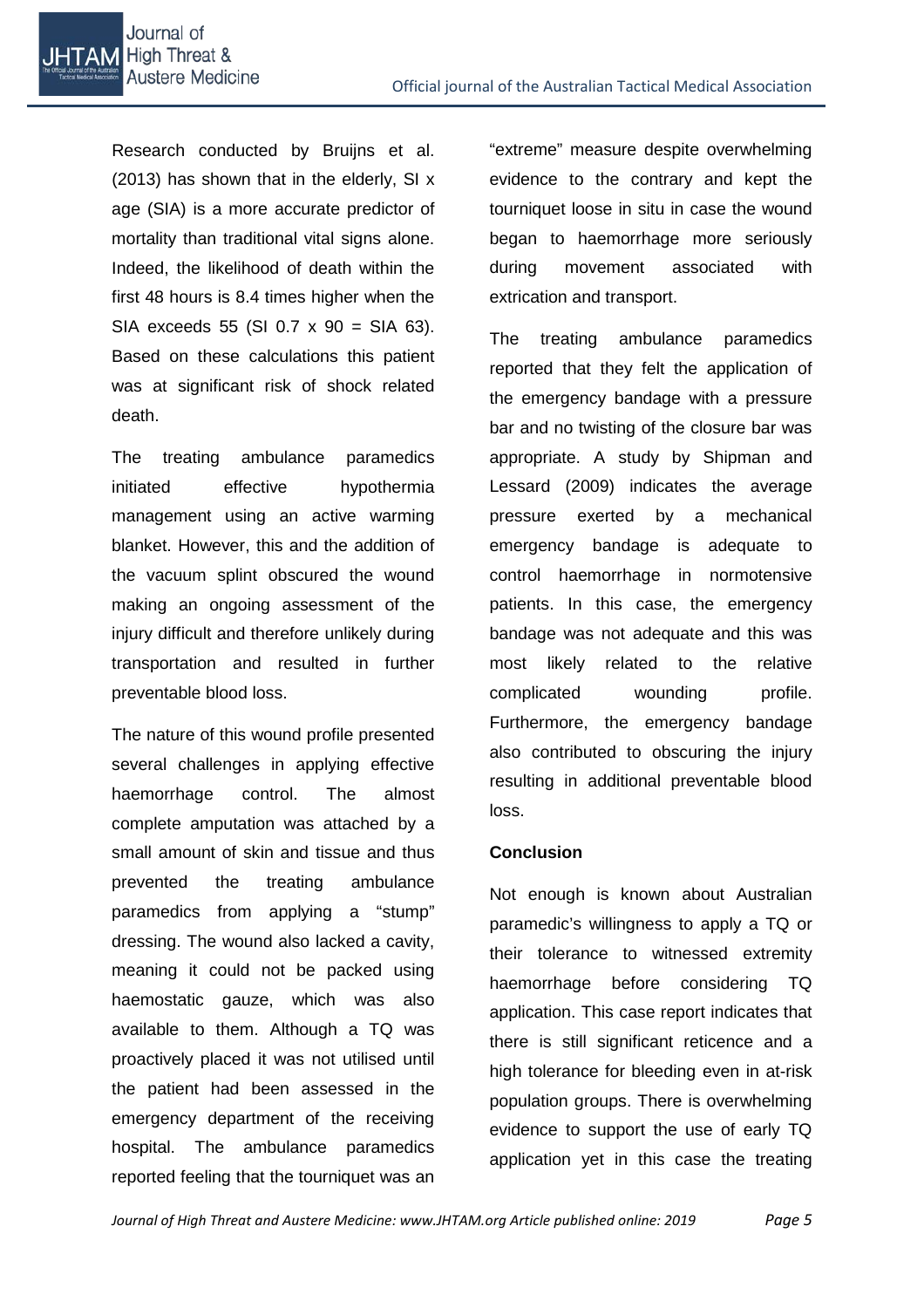Research conducted by Bruijns et al. (2013) has shown that in the elderly, SI x age (SIA) is a more accurate predictor of mortality than traditional vital signs alone. Indeed, the likelihood of death within the first 48 hours is 8.4 times higher when the SIA exceeds 55 (SI 0.7 x 90 = SIA 63). Based on these calculations this patient was at significant risk of shock related death.

The treating ambulance paramedics initiated effective hypothermia management using an active warming blanket. However, this and the addition of the vacuum splint obscured the wound making an ongoing assessment of the injury difficult and therefore unlikely during transportation and resulted in further preventable blood loss.

The nature of this wound profile presented several challenges in applying effective haemorrhage control. The almost complete amputation was attached by a small amount of skin and tissue and thus prevented the treating ambulance paramedics from applying a "stump" dressing. The wound also lacked a cavity, meaning it could not be packed using haemostatic gauze, which was also available to them. Although a TQ was proactively placed it was not utilised until the patient had been assessed in the emergency department of the receiving hospital. The ambulance paramedics reported feeling that the tourniquet was an "extreme" measure despite overwhelming evidence to the contrary and kept the tourniquet loose in situ in case the wound began to haemorrhage more seriously during movement associated with extrication and transport.

The treating ambulance paramedics reported that they felt the application of the emergency bandage with a pressure bar and no twisting of the closure bar was appropriate. A study by Shipman and Lessard (2009) indicates the average pressure exerted by a mechanical emergency bandage is adequate to control haemorrhage in normotensive patients. In this case, the emergency bandage was not adequate and this was most likely related to the relative complicated wounding profile. Furthermore, the emergency bandage also contributed to obscuring the injury resulting in additional preventable blood loss.

## **Conclusion**

Not enough is known about Australian paramedic's willingness to apply a TQ or their tolerance to witnessed extremity haemorrhage before considering TQ application. This case report indicates that there is still significant reticence and a high tolerance for bleeding even in at-risk population groups. There is overwhelming evidence to support the use of early TQ application yet in this case the treating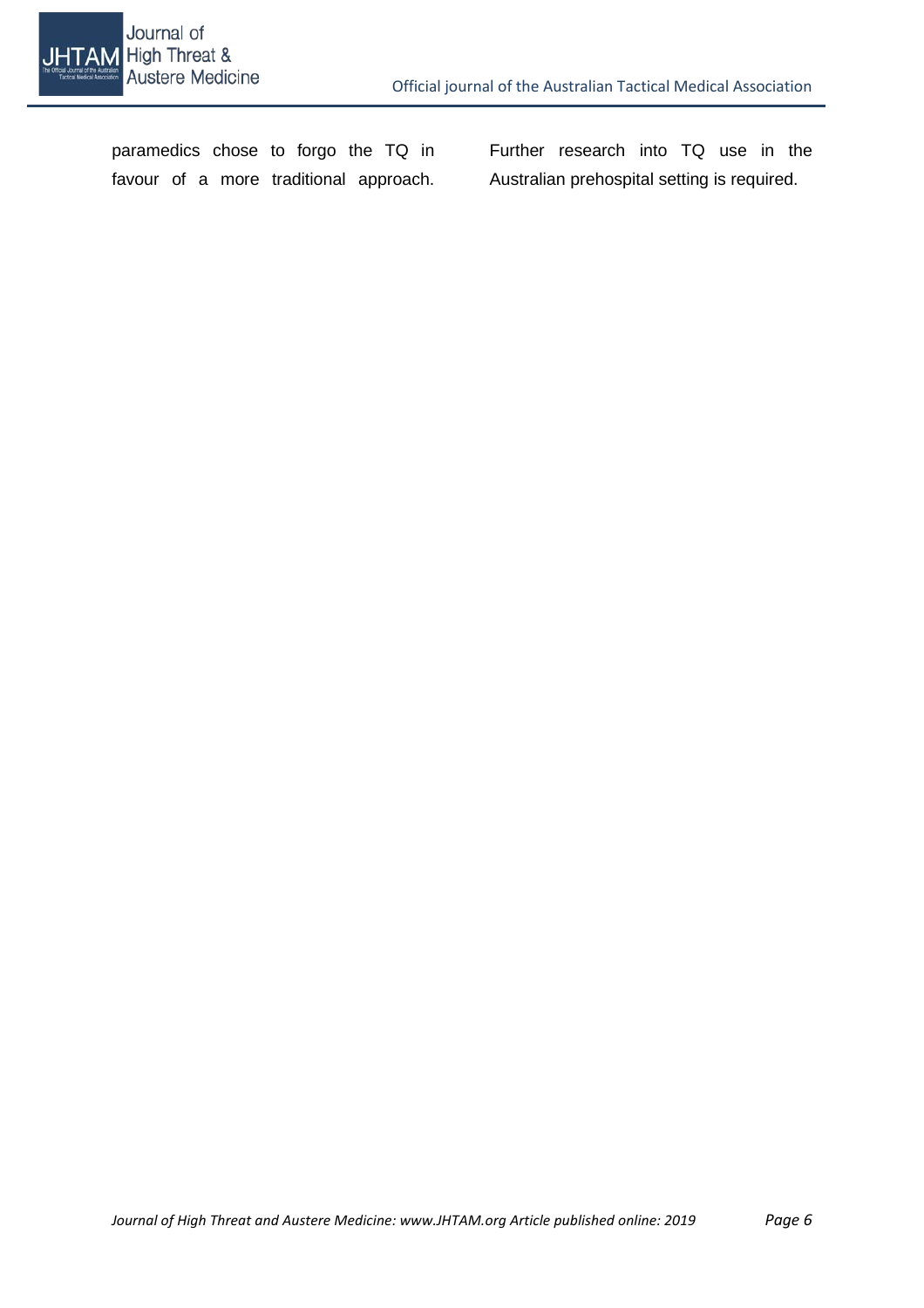

paramedics chose to forgo the TQ in favour of a more traditional approach.

Further research into TQ use in the Australian prehospital setting is required.